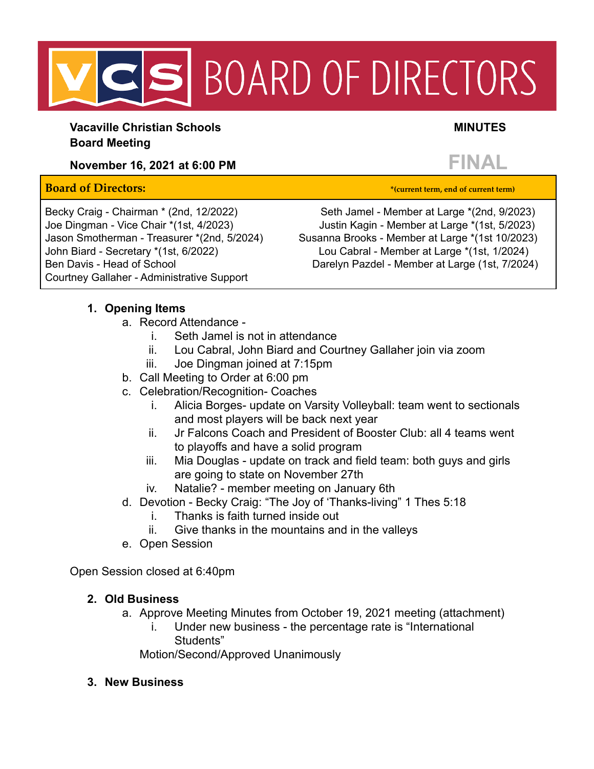# S BOARD OF DIRECTORS

**Vacaville Christian Schools MINUTES Board Meeting**

# **November 16, 2021 at 6:00 PM FINAL**

#### **Board of Directors: \*(current term, end of current term)**

Courtney Gallaher - Administrative Support

Becky Craig - Chairman \* (2nd, 12/2022) Seth Jamel - Member at Large \*(2nd, 9/2023) Joe Dingman - Vice Chair \*(1st, 4/2023) Justin Kagin - Member at Large \*(1st, 5/2023) Jason Smotherman - Treasurer \*(2nd, 5/2024) Susanna Brooks - Member at Large \*(1st 10/2023) John Biard - Secretary \*(1st, 6/2022) Lou Cabral - Member at Large \*(1st, 1/2024) Ben Davis - Head of School **Darelyn Pazdel - Member at Large (1st, 7/2024)** 

### **1. Opening Items**

- a. Record Attendance
	- i. Seth Jamel is not in attendance
	- ii. Lou Cabral, John Biard and Courtney Gallaher join via zoom
	- iii. Joe Dingman joined at 7:15pm
- b. Call Meeting to Order at 6:00 pm
- c. Celebration/Recognition- Coaches
	- i. Alicia Borges- update on Varsity Volleyball: team went to sectionals and most players will be back next year
	- ii. Jr Falcons Coach and President of Booster Club: all 4 teams went to playoffs and have a solid program
	- iii. Mia Douglas update on track and field team: both guys and girls are going to state on November 27th
	- iv. Natalie? member meeting on January 6th
- d. Devotion Becky Craig: "The Joy of 'Thanks-living" 1 Thes 5:18
	- i. Thanks is faith turned inside out
	- ii. Give thanks in the mountains and in the valleys
- e. Open Session

Open Session closed at 6:40pm

## **2. Old Business**

- a. Approve Meeting Minutes from October 19, 2021 meeting (attachment)
	- i. Under new business the percentage rate is "International Students"

Motion/Second/Approved Unanimously

**3. New Business**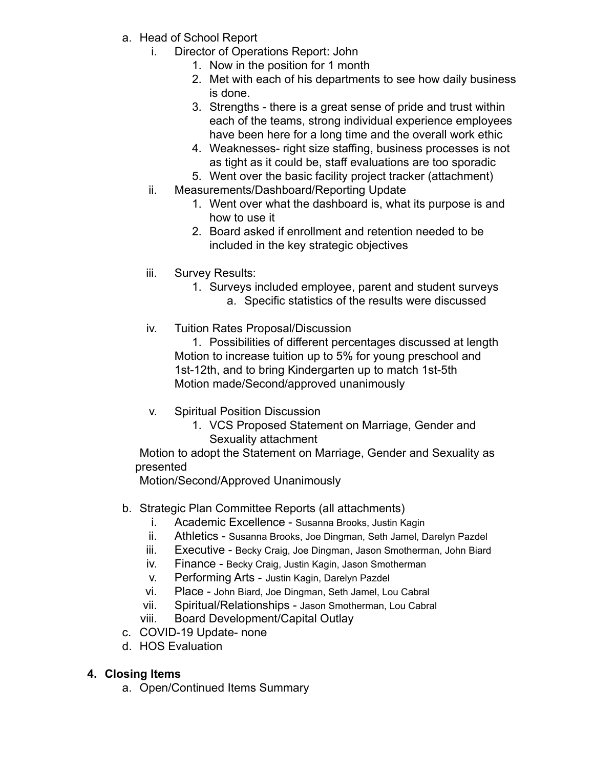- a. Head of School Report
	- i. Director of Operations Report: John
		- 1. Now in the position for 1 month
		- 2. Met with each of his departments to see how daily business is done.
		- 3. Strengths there is a great sense of pride and trust within each of the teams, strong individual experience employees have been here for a long time and the overall work ethic
		- 4. Weaknesses- right size staffing, business processes is not as tight as it could be, staff evaluations are too sporadic
		- 5. Went over the basic facility project tracker (attachment)
	- ii. Measurements/Dashboard/Reporting Update
		- 1. Went over what the dashboard is, what its purpose is and how to use it
		- 2. Board asked if enrollment and retention needed to be included in the key strategic objectives
	- iii. Survey Results:
		- 1. Surveys included employee, parent and student surveys
			- a. Specific statistics of the results were discussed
	- iv. Tuition Rates Proposal/Discussion

1. Possibilities of different percentages discussed at length Motion to increase tuition up to 5% for young preschool and 1st-12th, and to bring Kindergarten up to match 1st-5th Motion made/Second/approved unanimously

- v. Spiritual Position Discussion
	- 1. VCS Proposed Statement on Marriage, Gender and Sexuality attachment

Motion to adopt the Statement on Marriage, Gender and Sexuality as presented

Motion/Second/Approved Unanimously

- b. Strategic Plan Committee Reports (all attachments)
	- i. Academic Excellence Susanna Brooks, Justin Kagin
	- ii. Athletics Susanna Brooks, Joe Dingman, Seth Jamel, Darelyn Pazdel
	- iii. Executive Becky Craig, Joe Dingman, Jason Smotherman, John Biard
	- iv. Finance Becky Craig, Justin Kagin, Jason Smotherman
	- v. Performing Arts Justin Kagin, Darelyn Pazdel
	- vi. Place John Biard, Joe Dingman, Seth Jamel, Lou Cabral
	- vii. Spiritual/Relationships Jason Smotherman, Lou Cabral
	- viii. Board Development/Capital Outlay
- c. COVID-19 Update- none
- d. HOS Evaluation

#### **4. Closing Items**

a. Open/Continued Items Summary